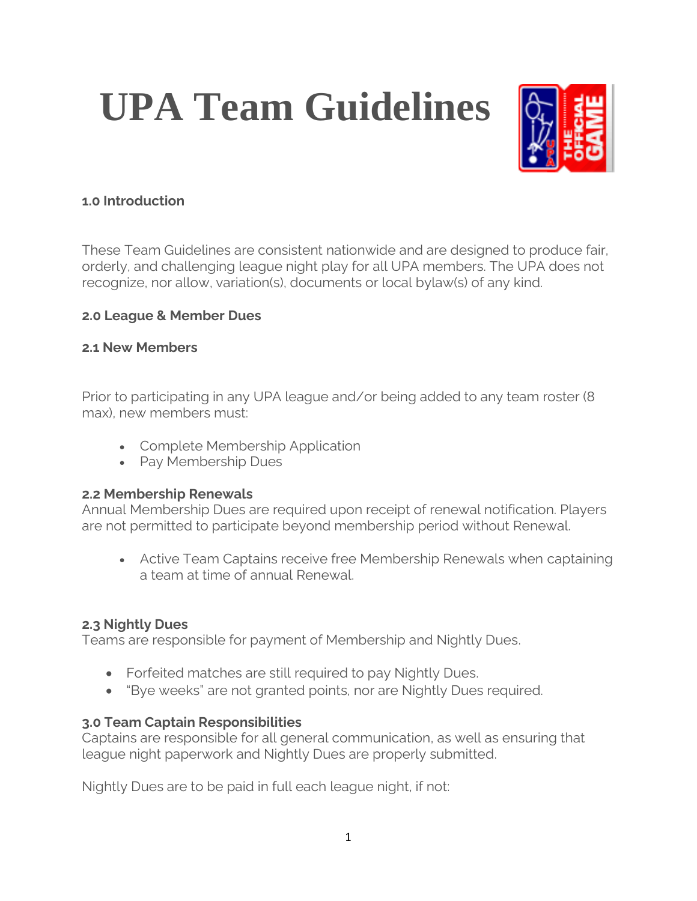# **UPA Team Guidelines**



## **1.0 Introduction**

These Team Guidelines are consistent nationwide and are designed to produce fair, orderly, and challenging league night play for all UPA members. The UPA does not recognize, nor allow, variation(s), documents or local bylaw(s) of any kind.

## **2.0 League & Member Dues**

## **2.1 New Members**

Prior to participating in any UPA league and/or being added to any team roster (8 max), new members must:

- Complete Membership Application
- Pay Membership Dues

## **2.2 Membership Renewals**

Annual Membership Dues are required upon receipt of renewal notification. Players are not permitted to participate beyond membership period without Renewal.

• Active Team Captains receive free Membership Renewals when captaining a team at time of annual Renewal.

# **2.3 Nightly Dues**

Teams are responsible for payment of Membership and Nightly Dues.

- Forfeited matches are still required to pay Nightly Dues.
- "Bye weeks" are not granted points, nor are Nightly Dues required.

# **3.0 Team Captain Responsibilities**

Captains are responsible for all general communication, as well as ensuring that league night paperwork and Nightly Dues are properly submitted.

Nightly Dues are to be paid in full each league night, if not: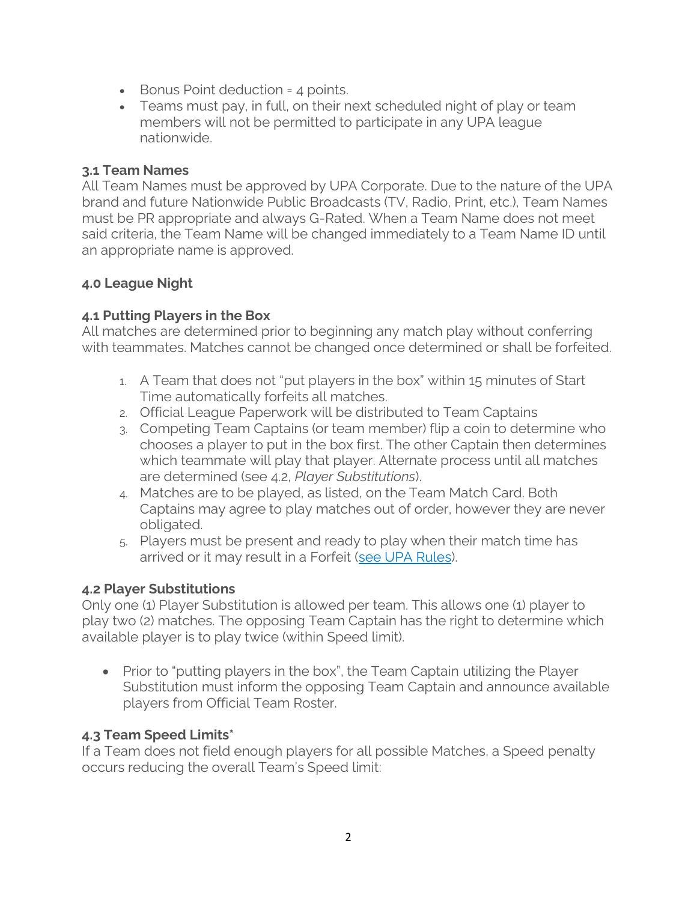- Bonus Point deduction = 4 points.
- Teams must pay, in full, on their next scheduled night of play or team members will not be permitted to participate in any UPA league nationwide.

## **3.1 Team Names**

All Team Names must be approved by UPA Corporate. Due to the nature of the UPA brand and future Nationwide Public Broadcasts (TV, Radio, Print, etc.), Team Names must be PR appropriate and always G-Rated. When a Team Name does not meet said criteria, the Team Name will be changed immediately to a Team Name ID until an appropriate name is approved.

# **4.0 League Night**

# **4.1 Putting Players in the Box**

All matches are determined prior to beginning any match play without conferring with teammates. Matches cannot be changed once determined or shall be forfeited.

- 1. A Team that does not "put players in the box" within 15 minutes of Start Time automatically forfeits all matches.
- 2. Official League Paperwork will be distributed to Team Captains
- 3. Competing Team Captains (or team member) flip a coin to determine who chooses a player to put in the box first. The other Captain then determines which teammate will play that player. Alternate process until all matches are determined (see 4.2, *Player Substitutions*).
- 4. Matches are to be played, as listed, on the Team Match Card. Both Captains may agree to play matches out of order, however they are never obligated.
- 5. Players must be present and ready to play when their match time has arrived or it may result in a Forfeit [\(see UPA Rules\)](https://upatour.com/8-ball-rules/).

# **4.2 Player Substitutions**

Only one (1) Player Substitution is allowed per team. This allows one (1) player to play two (2) matches. The opposing Team Captain has the right to determine which available player is to play twice (within Speed limit).

• Prior to "putting players in the box", the Team Captain utilizing the Player Substitution must inform the opposing Team Captain and announce available players from Official Team Roster.

# **4.3 Team Speed Limits\***

If a Team does not field enough players for all possible Matches, a Speed penalty occurs reducing the overall Team's Speed limit: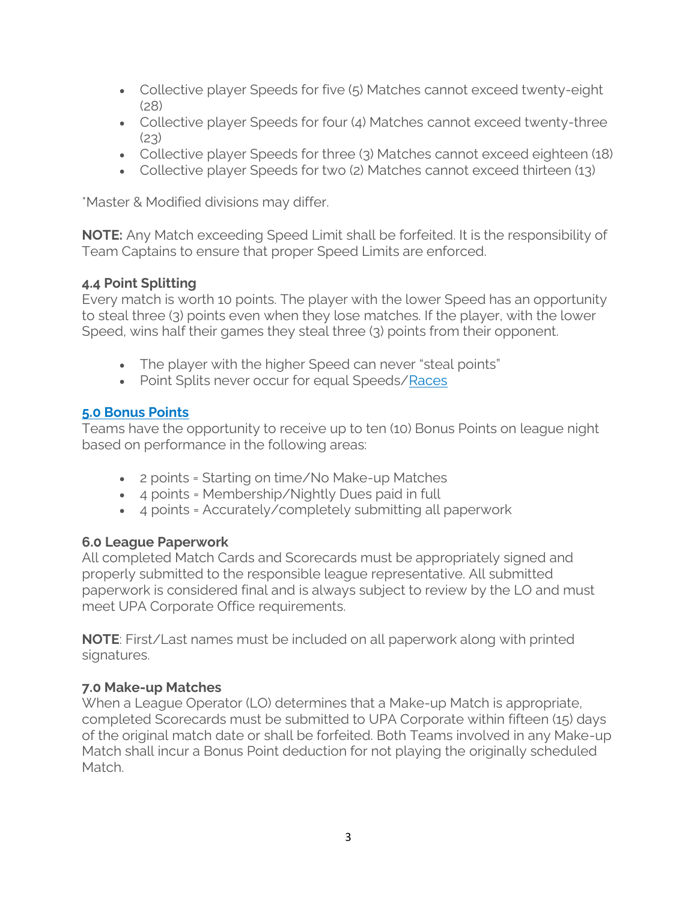- Collective player Speeds for five (5) Matches cannot exceed twenty-eight (28)
- Collective player Speeds for four (4) Matches cannot exceed twenty-three  $(23)$
- Collective player Speeds for three (3) Matches cannot exceed eighteen (18)
- Collective player Speeds for two (2) Matches cannot exceed thirteen (13)

\*Master & Modified divisions may differ.

**NOTE:** Any Match exceeding Speed Limit shall be forfeited. It is the responsibility of Team Captains to ensure that proper Speed Limits are enforced.

## **4.4 Point Splitting**

Every match is worth 10 points. The player with the lower Speed has an opportunity to steal three (3) points even when they lose matches. If the player, with the lower Speed, wins half their games they steal three (3) points from their opponent.

- The player with the higher Speed can never "steal points"
- Point Splits never occur for equal Speeds[/Races](https://upatour.com/upa-pool-league-race-grids/)

## **[5.0 Bonus Points](https://youtu.be/eykMArEZCv0)**

Teams have the opportunity to receive up to ten (10) Bonus Points on league night based on performance in the following areas:

- 2 points = Starting on time/No Make-up Matches
- 4 points = Membership/Nightly Dues paid in full
- 4 points = Accurately/completely submitting all paperwork

## **6.0 League Paperwork**

All completed Match Cards and Scorecards must be appropriately signed and properly submitted to the responsible league representative. All submitted paperwork is considered final and is always subject to review by the LO and must meet UPA Corporate Office requirements.

**NOTE**: First/Last names must be included on all paperwork along with printed signatures.

#### **7.0 Make-up Matches**

When a League Operator (LO) determines that a Make-up Match is appropriate, completed Scorecards must be submitted to UPA Corporate within fifteen (15) days of the original match date or shall be forfeited. Both Teams involved in any Make-up Match shall incur a Bonus Point deduction for not playing the originally scheduled Match.